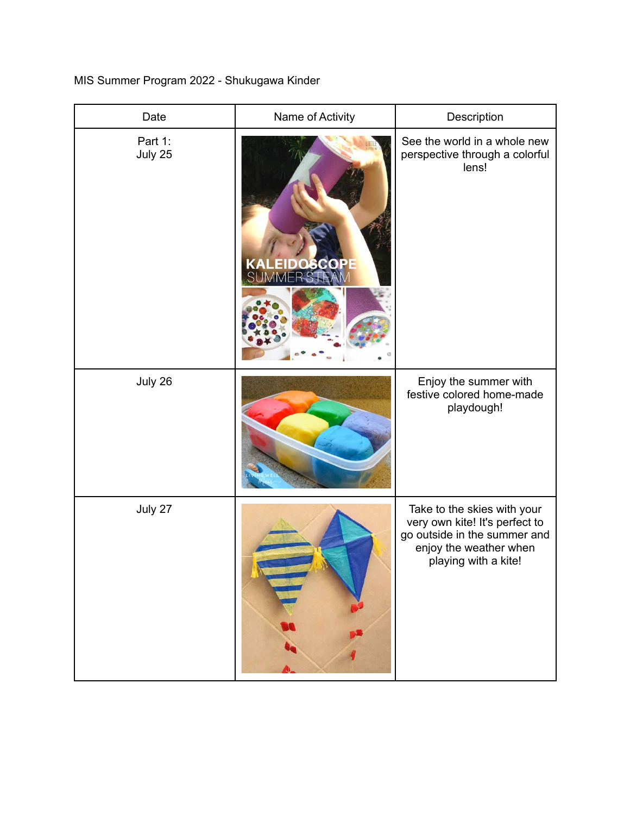MIS Summer Program 2022 - Shukugawa Kinder

| Date               | Name of Activity                   | Description                                                                                                                                     |
|--------------------|------------------------------------|-------------------------------------------------------------------------------------------------------------------------------------------------|
| Part 1:<br>July 25 | <b>KALEIDOSCOPE</b><br>SUMMERSTEAM | See the world in a whole new<br>perspective through a colorful<br>lens!                                                                         |
| July 26            |                                    | Enjoy the summer with<br>festive colored home-made<br>playdough!                                                                                |
| July 27            |                                    | Take to the skies with your<br>very own kite! It's perfect to<br>go outside in the summer and<br>enjoy the weather when<br>playing with a kite! |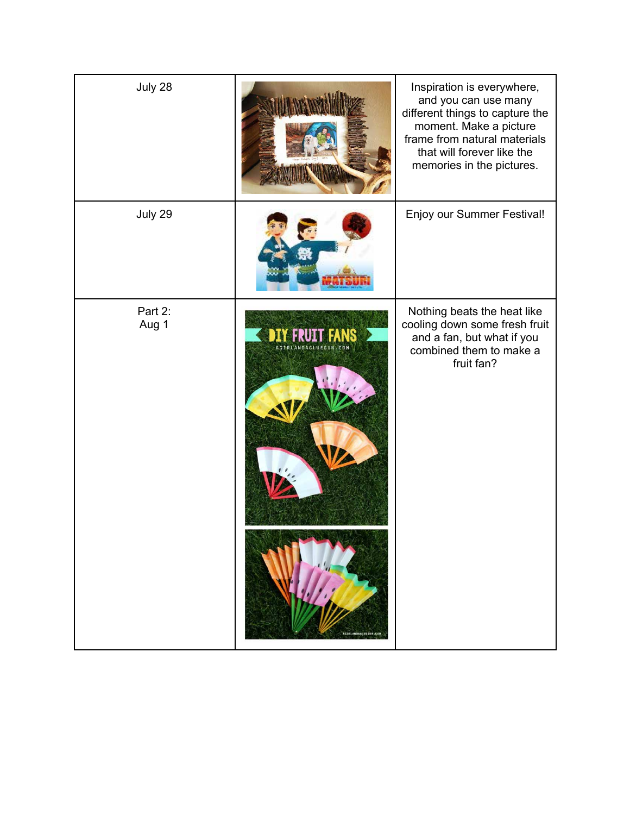| July 28          |                                                    | Inspiration is everywhere,<br>and you can use many<br>different things to capture the<br>moment. Make a picture<br>frame from natural materials<br>that will forever like the<br>memories in the pictures. |
|------------------|----------------------------------------------------|------------------------------------------------------------------------------------------------------------------------------------------------------------------------------------------------------------|
| July 29          |                                                    | Enjoy our Summer Festival!                                                                                                                                                                                 |
| Part 2:<br>Aug 1 | H.<br>AGIRLANDAGLUEGUN.COM<br>ASIRIANDAGEOFGUN.COM | Nothing beats the heat like<br>cooling down some fresh fruit<br>and a fan, but what if you<br>combined them to make a<br>fruit fan?                                                                        |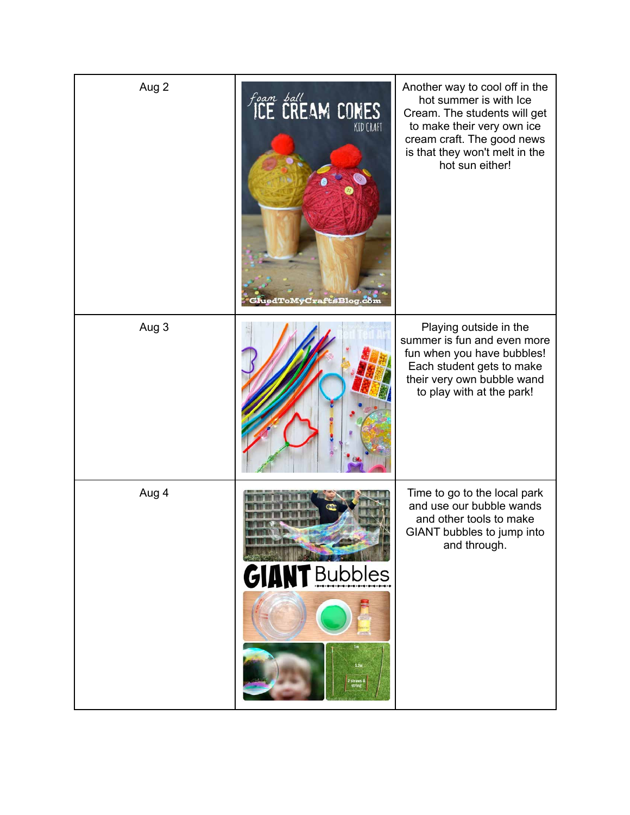| Aug 2 | Foam ball<br>ICE CREAM CONES<br><b>KID CRAFT</b><br><b>uedToMvCraftsBlog</b> | Another way to cool off in the<br>hot summer is with Ice<br>Cream. The students will get<br>to make their very own ice<br>cream craft. The good news<br>is that they won't melt in the<br>hot sun either! |
|-------|------------------------------------------------------------------------------|-----------------------------------------------------------------------------------------------------------------------------------------------------------------------------------------------------------|
| Aug 3 |                                                                              | Playing outside in the<br>summer is fun and even more<br>fun when you have bubbles!<br>Each student gets to make<br>their very own bubble wand<br>to play with at the park!                               |
| Aug 4 | <b>NT</b> Bubbles<br>GIAI<br>1.2 <sub>m</sub><br>2 straws &<br>string        | Time to go to the local park<br>and use our bubble wands<br>and other tools to make<br>GIANT bubbles to jump into<br>and through.                                                                         |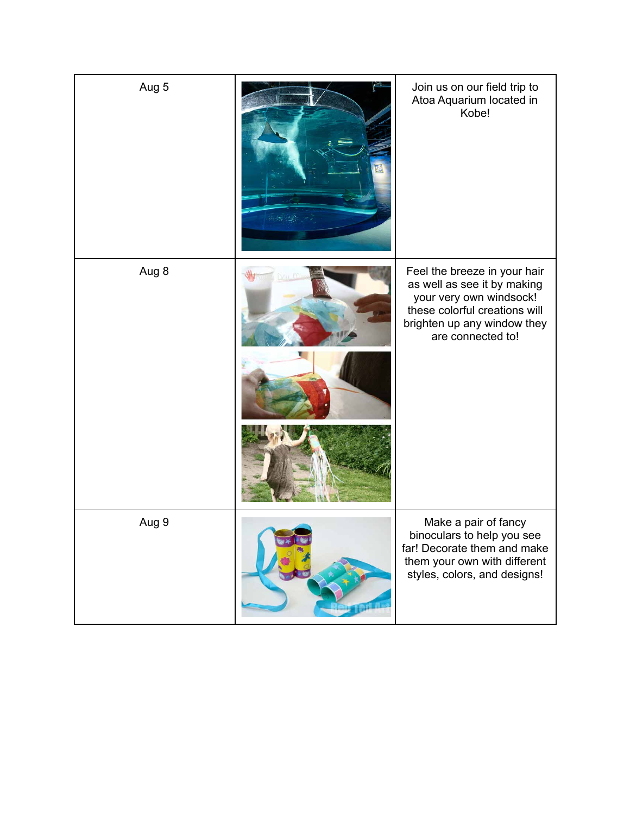| Aug 5 | Join us on our field trip to<br>Atoa Aquarium located in<br>Kobe!                                                                                                           |
|-------|-----------------------------------------------------------------------------------------------------------------------------------------------------------------------------|
| Aug 8 | Feel the breeze in your hair<br>as well as see it by making<br>your very own windsock!<br>these colorful creations will<br>brighten up any window they<br>are connected to! |
| Aug 9 | Make a pair of fancy<br>binoculars to help you see<br>far! Decorate them and make<br>them your own with different<br>styles, colors, and designs!                           |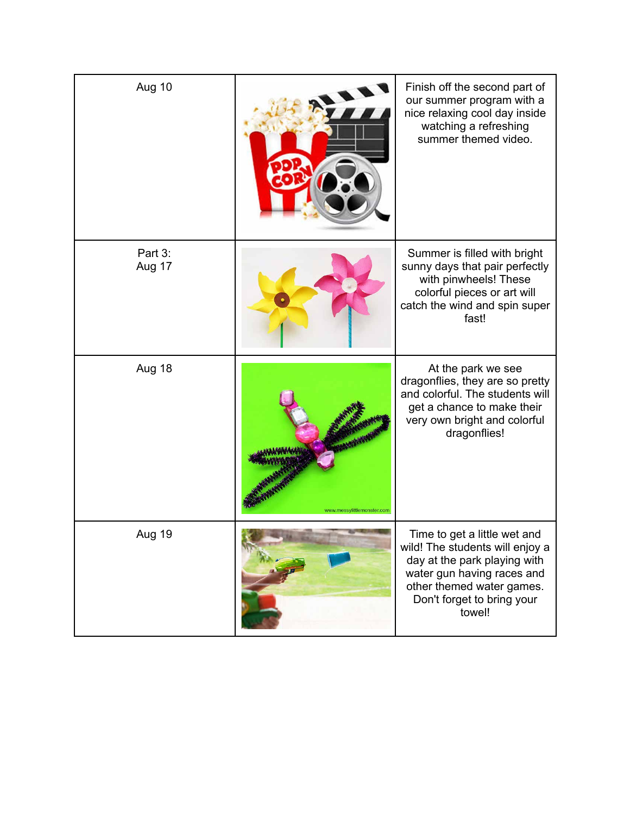| Aug 10            |                            | Finish off the second part of<br>our summer program with a<br>nice relaxing cool day inside<br>watching a refreshing<br>summer themed video.                                                       |
|-------------------|----------------------------|----------------------------------------------------------------------------------------------------------------------------------------------------------------------------------------------------|
| Part 3:<br>Aug 17 |                            | Summer is filled with bright<br>sunny days that pair perfectly<br>with pinwheels! These<br>colorful pieces or art will<br>catch the wind and spin super<br>fast!                                   |
| Aug 18            | www.messylittlemonster.com | At the park we see<br>dragonflies, they are so pretty<br>and colorful. The students will<br>get a chance to make their<br>very own bright and colorful<br>dragonflies!                             |
| Aug 19            |                            | Time to get a little wet and<br>wild! The students will enjoy a<br>day at the park playing with<br>water gun having races and<br>other themed water games.<br>Don't forget to bring your<br>towel! |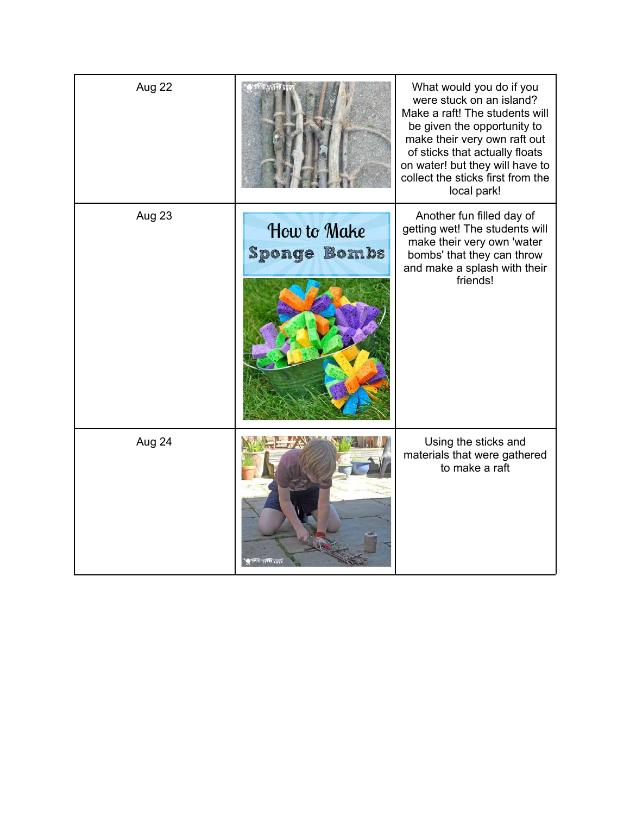| Aug 22 |                                    | What would you do if you<br>were stuck on an island?<br>Make a raft! The students will<br>be given the opportunity to<br>make their very own raft out<br>of sticks that actually floats<br>on water! but they will have to<br>collect the sticks first from the<br>local park! |
|--------|------------------------------------|--------------------------------------------------------------------------------------------------------------------------------------------------------------------------------------------------------------------------------------------------------------------------------|
| Aug 23 | How to Make<br><b>Sponge Bombs</b> | Another fun filled day of<br>getting wet! The students will<br>make their very own 'water<br>bombs' that they can throw<br>and make a splash with their<br>friends!                                                                                                            |
| Aug 24 | مملقة والملكة وزهامة               | Using the sticks and<br>materials that were gathered<br>to make a raft                                                                                                                                                                                                         |